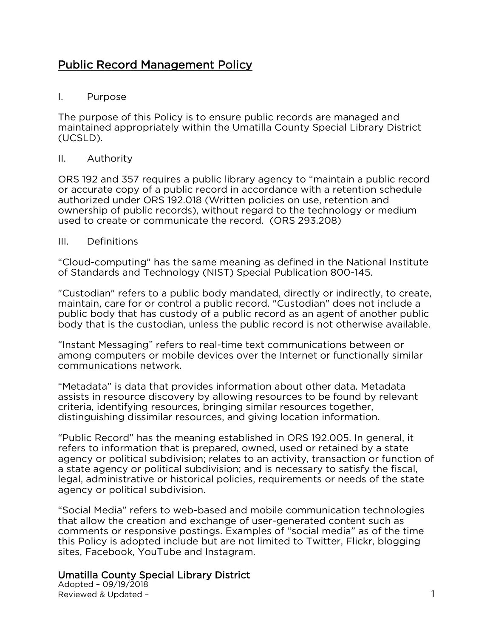# <u>Public Record Management Policy</u>

### $\mathbf{L}$ I. Purpose

maintained appropriately within the Umatilla County Special Library Dis maintained appropriately within the Umatilla County Special Library District  $(2022)$ 

### Ш. II. Authority of the Contract of the Contract of the Contract of the Contract of the Contract of the Contract of the Contract of the Contract of the Contract of the Contract of the Contract of the Contract of the Contract

ORS 192 and 357 requires a public library agency to "maintain a public record or accurate copy of a public record in accordance with a retention schedule authorized under ORS 192.018 (Written policies on use, retention and ownership of public records), without regard to the technology or medium used to create or communicate the record. (ORS 293.208) used to create or communicate the record. (ORS 293.208)

#### $III.$ **Definitions** III. Definitions

"Cloud-computing" has the same meaning as defined in the National Institute<br>of Standards and Technology (NIST) Special Publication 800-145.  $\sum_{i=1}^{n}$ 

"Custodian" refers to a public body mandated, directly or indirectly, to create, maintain, care for or control a public record. "Custodian" does not include a public body that has custody of a public record as an agent of another public body that is the custodian, unless the public record is not otherwise available. body that is the custodian, unless the public record is not otherwise available.

"Instant Messaging" refers to real-time text communications between or communications network. communications network.

"Metadata" is data that provides information about other data. Metadata criteria, identifying resources, bringing similar resources together, distinguishing dissimilar resources, and giving location information. distinguishing dissimilar resources, and giving location information.

"Public Record" has the meaning established in ORS 192.005. In general, it agency or political subdivision; relates to an activity, transaction or function of a state agency or political subdivision; and is necessary to satisfy the fiscal, legal, administrative or historical policies, requirements or needs of the state legal, administrative or motorical policies, requirements or needs or the state<br>adency or political subdivision. agency or political subdivision.

"Social Media" refers to web-based and mobile communication technologies comments or responsive postings. Examples of "social media" as of the time this Policy is adopted include but are not limited to Twitter, Flickr, blogging sites, Facebook, YouTube and Instagram. sites, Facebook, YouTube and Instagram.

## Umatilla County Special Library District<br>Adopted - 09/19/2018

Reviewed & Updated -Reviewed & Updated – 1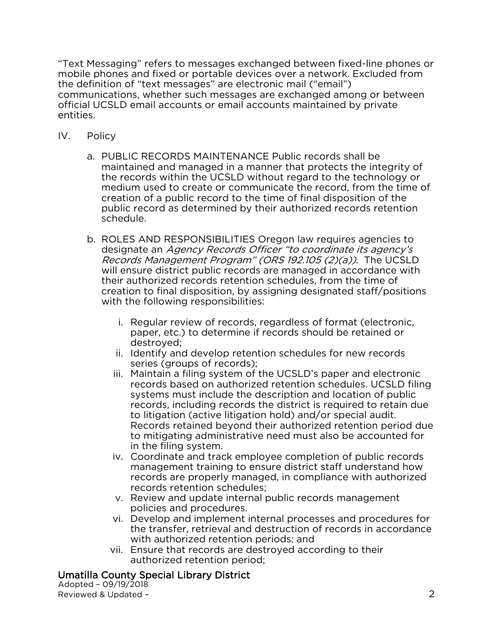"Text Messaging" refers to messages exchanged between fixed-line phones or the definition of "text messages" are electronic mail ("email") communications, whether such messages are exchanged among or between official UCSLD email accounts or email accounts maintained by private ontifies. entities.

- $IV_{-}$ Policy IV. Policy
	- a. PUBLIC RECORDS MAINTENANCE Public records shall be<br>maintained and managed in a manner that protects the integrity of the records within the UCSLD without regard to the technology or medium used to create or communicate the record, from the time of creation of a public record to the time of final disposition of the public record as determined by their authorized records retention schedule. schedule.
	- designate an Agency Records Officer "to coordinate its agency's<br>Records Management Program" (ORS 192.105 (2)(a)). The UCSLD *Records Management Program" (ORS 192.105 (2)(a)).* The UCSLD will ensure district public records are managed in accordance with their authorized records retention schedules, from the time of creation to final disposition, by assigning designated staff/positions creation to main disposition, by assigning designated stan, positions with the following responsibilities:
		- i. Regular review of records, regardless of format (electronic, destroyed:
		- ii. Identify and develop retention schedules for new records series (groups of records);
		- iii. Maintain a filing system of the UCSLD's paper and electronic records based on authorized retention schedules. UCSLD filing systems must include the description and location of public records, including records the district is required to retain due to litigation (active litigation hold) and/or special audit. Records retained beyond their authorized retention period due to mitigating administrative need must also be accounted for in the filing system.
		- iv. Coordinate and track employee completion of public records management training to ensure district staff understand how records are properly managed, in compliance with authorized records retention schedules;
		- v. Review and update internal public records management policies and procedures.
		- vi. Develop and implement internal processes and procedures for the transfer, retrieval and destruction of records in accordance with authorized retention periods; and
		- vii. Ensure that records are destroyed according to their authorized retention period;

### Umatilla County Special Library District

Adopted -  $09/19/2018$ Reviewed & Updated - $R$ eviewed  $\sim$  19 km $\sim$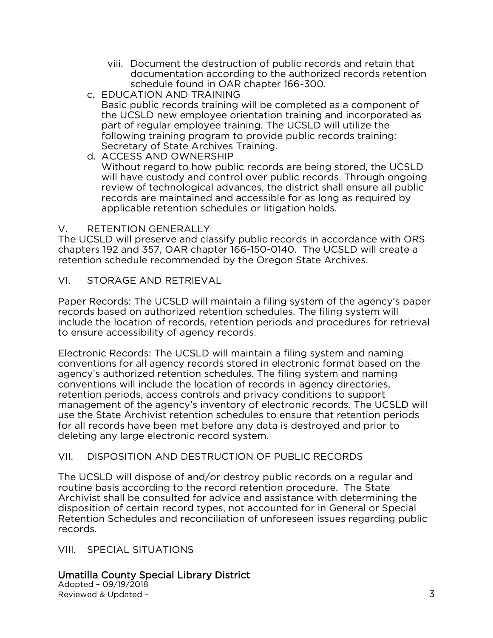- viii. Document the destruction of public records and retain that<br>documentation according to the authorized records retention schedule found in OAR chapter 166-300.
- c. EDUCATION AND TRAINING

Basic public records training will be completed as a component of the UCSLD new employee orientation training and incorporated as part of regular employee training. The UCSLD will utilize the following training program to provide public records training: Secretary of State Archives Training.

d. ACCESS AND OWNERSHIP Without regard to how public records are being stored, the UCSLD will have custody and control over public records. Through ongoing review of technological advances, the district shall ensure all public records are maintained and accessible for as long as required by applicable retention schedules or litigation holds. applicable retention schedules or litigation holds.

### $V_{\odot}$

V. RETENTION GENERALLY<br>The UCSLD will preserve and classify public records in accordance with ORS chapters 192 and 357, OAR chapter 166-150-0140. The UCSLD will create a chapters 192 and 357, OAR chapter 166-150-0110. The UCSLD will create a retention schedule recommended by the Oregon State Archives.

 $VI.$ STORAGE AND RETRIEVAL VI. STORAGE AND RETRIEVAL

Paper Records: The UCSLD will maintain a filing system of the agency's paper records based on authorized retention schedules. The filing system will include the location of records, retention periods and procedures for retrieval to ensure accessibility of agency records. to ensure accessibility of agency records.

Electronic Records: The UCSLD will maintain a filing system and naming agency's authorized retention schedules. The filing system and naming conventions will include the location of records in agency directories. retention periods, access controls and privacy conditions to support management of the agency's inventory of electronic records. The UCSLD will use the State Archivist retention schedules to ensure that retention periods. for all records have been met before any data is destroyed and prior to deleting any large electronic record system. deleting any large electronic record system.

#### VII. DISPOSITION AND DESTRUCTION OF PUBLIC RECORDS VII. DISPOSITION AND DESTRUCTION OF PUBLIC RECORDS

The UCSLD will dispose of and/or destroy public records on a regular and routine basis according to the record retention procedure. The State Archivist shall be consulted for advice and assistance with determining the disposition of certain record types, not accounted for in General or Special Retention Schedules and reconciliation of unforeseen issues regarding public Retention Schedules and reconciliation of unforeseen issues regarding public records.

## VIII. SPECIAL SITUATIONS

# Umatilla County Special Library District<br>Adopted - 09/19/2018

Reviewed & Updated reviewed & Updated – 3 and 2012 and 3 and 3 and 3 and 3 and 3 and 3 and 3 and 3 and 3 and 3 and 3 and 3 and 3